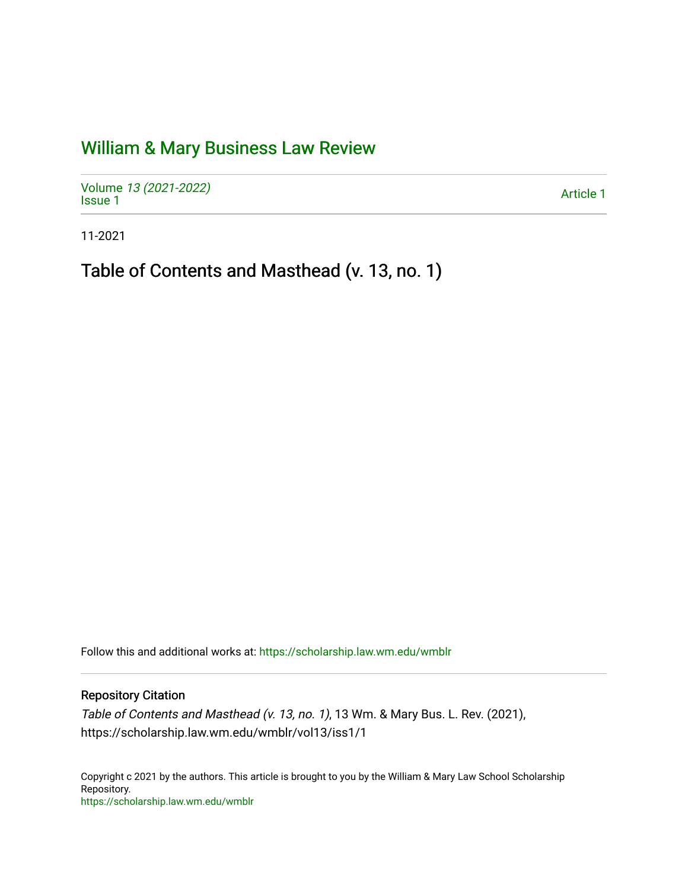## [William & Mary Business Law Review](https://scholarship.law.wm.edu/wmblr)

Volume [13 \(2021-2022\)](https://scholarship.law.wm.edu/wmblr/vol13)  volume 15 (2021-2022)<br>[Issue 1](https://scholarship.law.wm.edu/wmblr/vol13/iss1)

11-2021

Table of Contents and Masthead (v. 13, no. 1)

Follow this and additional works at: [https://scholarship.law.wm.edu/wmblr](https://scholarship.law.wm.edu/wmblr?utm_source=scholarship.law.wm.edu%2Fwmblr%2Fvol13%2Fiss1%2F1&utm_medium=PDF&utm_campaign=PDFCoverPages) 

Repository Citation

Table of Contents and Masthead (v. 13, no. 1), 13 Wm. & Mary Bus. L. Rev. (2021), https://scholarship.law.wm.edu/wmblr/vol13/iss1/1

Copyright c 2021 by the authors. This article is brought to you by the William & Mary Law School Scholarship Repository. <https://scholarship.law.wm.edu/wmblr>